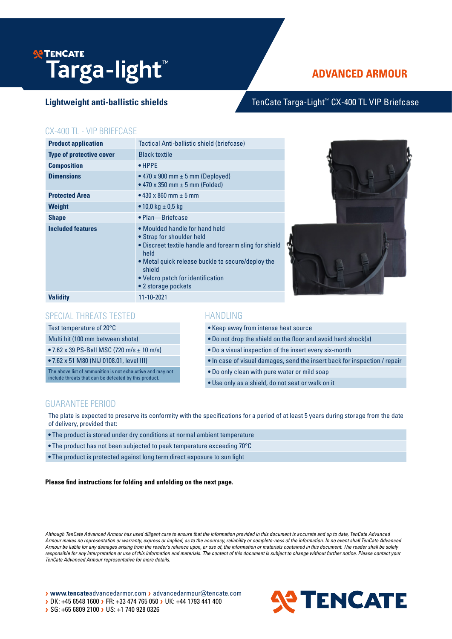# **P TENCATE Targa-light**™

# **ADVANCED ARMOUR**

## Lightweight anti-ballistic shields TenCate Targa-Light<sup>™</sup> CX-400 TL VIP Briefcase

#### CX-400 TL - VIP BRIEFCASE

| <b>Product application</b>      | Tactical Anti-ballistic shield (briefcase)                                                                                                                                                                                                               |  |
|---------------------------------|----------------------------------------------------------------------------------------------------------------------------------------------------------------------------------------------------------------------------------------------------------|--|
| <b>Type of protective cover</b> | <b>Black textile</b>                                                                                                                                                                                                                                     |  |
| <b>Composition</b>              | $\bullet$ HPPE                                                                                                                                                                                                                                           |  |
| <b>Dimensions</b>               | • 470 x 900 mm $\pm$ 5 mm (Deployed)<br>• 470 x 350 mm $\pm$ 5 mm (Folded)                                                                                                                                                                               |  |
| <b>Protected Area</b>           | • 430 x 860 mm $\pm$ 5 mm                                                                                                                                                                                                                                |  |
| Weight                          | • 10,0 kg $\pm$ 0,5 kg                                                                                                                                                                                                                                   |  |
| <b>Shape</b>                    | • Plan-Briefcase                                                                                                                                                                                                                                         |  |
| <b>Included features</b>        | • Moulded handle for hand held<br>• Strap for shoulder held<br>• Discreet textile handle and forearm sling for shield<br>held<br>. Metal quick release buckle to secure/deploy the<br>shield<br>• Velcro patch for identification<br>• 2 storage pockets |  |
| <b>Validity</b>                 | 11-10-2021                                                                                                                                                                                                                                               |  |

### SPECIAL THREATS TESTED

Test temperature of 20°C

Multi hit (100 mm between shots)

• 7.62 x 39 PS-Ball MSC (720 m/s ± 10 m/s)

• 7.62 x 51 M80 (NIJ 0108.01, level III)

The above list of ammunition is not exhaustive and may not include threats that can be defeated by this product.

#### HANDLING

• Keep away from intense heat source

• Do not drop the shield on the floor and avoid hard shock(s)

• Do a visual inspection of the insert every six-month

- In case of visual damages, send the insert back for inspection / repair
- Do only clean with pure water or mild soap
- Use only as a shield, do not seat or walk on it

#### GUARANTEE PERIOD

The plate is expected to preserve its conformity with the specifications for a period of at least 5 years during storage from the date of delivery, provided that:

- The product is stored under dry conditions at normal ambient temperature
- The product has not been subjected to peak temperature exceeding 70°C

• The product is protected against long term direct exposure to sun light

**Please find instructions for folding and unfolding on the next page.**

*Although TenCate Advanced Armour has used diligent care to ensure that the information provided in this document is accurate and up to date, TenCate Advanced Armour makes no representation or warranty, express or implied, as to the accuracy, reliability or complete-ness of the information. In no event shall TenCate Advanced Armour be liable for any damages arising from the reader's reliance upon, or use of, the information or materials contained in this document. The reader shall be solely responsible for any interpretation or use of this information and materials. The content of this document is subject to change without further notice. Please contact your TenCate Advanced Armour representative for more details.*

> www.tencateadvancedarmor.com > advancedarmour@tencate.com > DK: +45 6548 1600 > FR: +33 474 765 050 > UK: +44 1793 441 400 SG: +65 6809 2100 > US: +1 740 928 0326

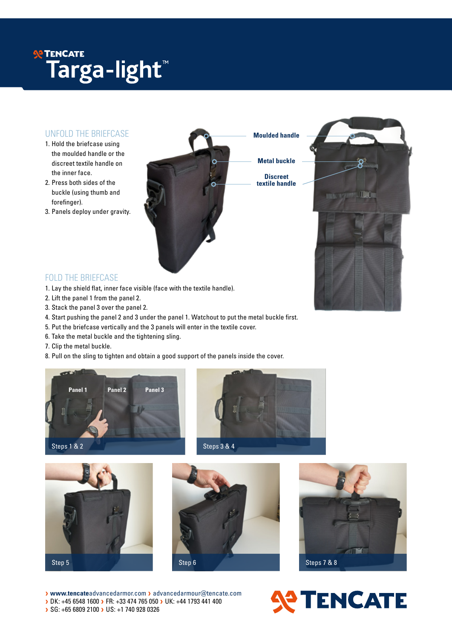# **SE TENCATE Targa-light**™

#### UNFOLD THE BRIEFCASE

- 1. Hold the briefcase using the moulded handle or the discreet textile handle on the inner face.
- 2. Press both sides of the buckle (using thumb and forefinger).
- 3. Panels deploy under gravity.



**Metal buckle**

**textile handle**



### FOLD THE BRIEFCASE

- 1. Lay the shield flat, inner face visible (face with the textile handle).
- 2. Lift the panel 1 from the panel 2.
- 3. Stack the panel 3 over the panel 2.
- 4. Start pushing the panel 2 and 3 under the panel 1. Watchout to put the metal buckle first.
- 5. Put the briefcase vertically and the 3 panels will enter in the textile cover.
- 6. Take the metal buckle and the tightening sling.
- 7. Clip the metal buckle.
- 8. Pull on the sling to tighten and obtain a good support of the panels inside the cover.











>**www.tencate**advancedarmor.com >advancedarmour@tencate.com > DK: +45 6548 1600 > FR: +33 474 765 050 > UK: +44 1793 441 400 > SG: +65 6809 2100 > US: +1 740 928 0326